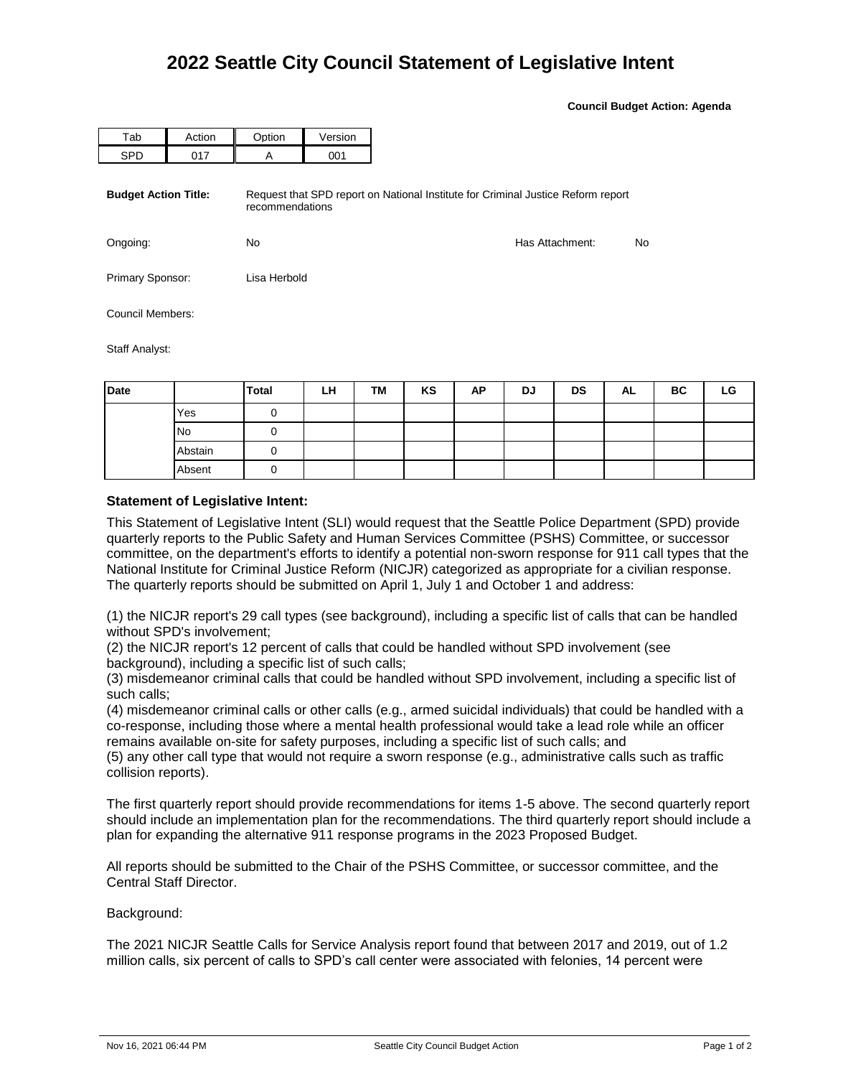**Council Budget Action: Agenda**

| Tab                         | Action | Option          | Version |                                                                                  |    |
|-----------------------------|--------|-----------------|---------|----------------------------------------------------------------------------------|----|
| <b>SPD</b>                  | 017    | A               | 001     |                                                                                  |    |
| <b>Budget Action Title:</b> |        | recommendations |         | Request that SPD report on National Institute for Criminal Justice Reform report |    |
| Ongoing:                    |        | No              |         | Has Attachment:                                                                  | No |
| Primary Sponsor:            |        | Lisa Herbold    |         |                                                                                  |    |
| Council Members:            |        |                 |         |                                                                                  |    |
| Staff Analyst:              |        |                 |         |                                                                                  |    |

| Date |           | Total | LH | TM | KS | AP | <b>DJ</b> | <b>DS</b> | AL | BC | LG |
|------|-----------|-------|----|----|----|----|-----------|-----------|----|----|----|
|      | Yes       |       |    |    |    |    |           |           |    |    |    |
|      | <b>No</b> |       |    |    |    |    |           |           |    |    |    |
|      | Abstain   |       |    |    |    |    |           |           |    |    |    |
|      | Absent    |       |    |    |    |    |           |           |    |    |    |

## **Statement of Legislative Intent:**

This Statement of Legislative Intent (SLI) would request that the Seattle Police Department (SPD) provide quarterly reports to the Public Safety and Human Services Committee (PSHS) Committee, or successor committee, on the department's efforts to identify a potential non-sworn response for 911 call types that the National Institute for Criminal Justice Reform (NICJR) categorized as appropriate for a civilian response. The quarterly reports should be submitted on April 1, July 1 and October 1 and address:

(1) the NICJR report's 29 call types (see background), including a specific list of calls that can be handled without SPD's involvement;

(2) the NICJR report's 12 percent of calls that could be handled without SPD involvement (see background), including a specific list of such calls;

(3) misdemeanor criminal calls that could be handled without SPD involvement, including a specific list of such calls;

(4) misdemeanor criminal calls or other calls (e.g., armed suicidal individuals) that could be handled with a co-response, including those where a mental health professional would take a lead role while an officer remains available on-site for safety purposes, including a specific list of such calls; and

(5) any other call type that would not require a sworn response (e.g., administrative calls such as traffic collision reports).

The first quarterly report should provide recommendations for items 1-5 above. The second quarterly report should include an implementation plan for the recommendations. The third quarterly report should include a plan for expanding the alternative 911 response programs in the 2023 Proposed Budget.

All reports should be submitted to the Chair of the PSHS Committee, or successor committee, and the Central Staff Director.

Background:

The 2021 NICJR Seattle Calls for Service Analysis report found that between 2017 and 2019, out of 1.2 million calls, six percent of calls to SPD's call center were associated with felonies, 14 percent were